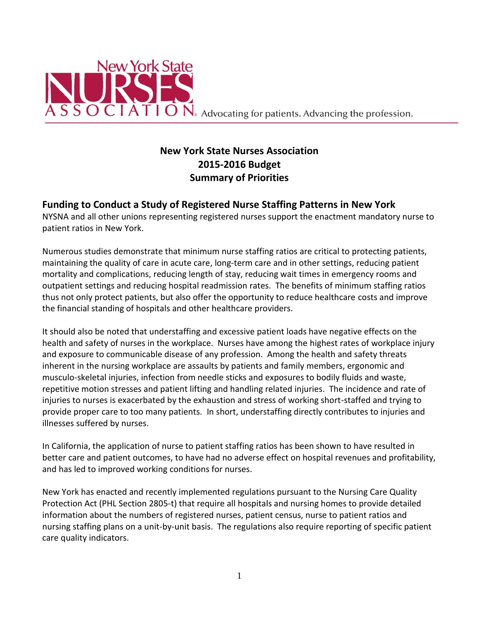

# **New York State Nurses Association 2015-2016 Budget Summary of Priorities**

#### **Funding to Conduct a Study of Registered Nurse Staffing Patterns in New York**

NYSNA and all other unions representing registered nurses support the enactment mandatory nurse to patient ratios in New York.

Numerous studies demonstrate that minimum nurse staffing ratios are critical to protecting patients, maintaining the quality of care in acute care, long-term care and in other settings, reducing patient mortality and complications, reducing length of stay, reducing wait times in emergency rooms and outpatient settings and reducing hospital readmission rates. The benefits of minimum staffing ratios thus not only protect patients, but also offer the opportunity to reduce healthcare costs and improve the financial standing of hospitals and other healthcare providers.

It should also be noted that understaffing and excessive patient loads have negative effects on the health and safety of nurses in the workplace. Nurses have among the highest rates of workplace injury and exposure to communicable disease of any profession. Among the health and safety threats inherent in the nursing workplace are assaults by patients and family members, ergonomic and musculo-skeletal injuries, infection from needle sticks and exposures to bodily fluids and waste, repetitive motion stresses and patient lifting and handling related injuries. The incidence and rate of injuries to nurses is exacerbated by the exhaustion and stress of working short-staffed and trying to provide proper care to too many patients. In short, understaffing directly contributes to injuries and illnesses suffered by nurses.

In California, the application of nurse to patient staffing ratios has been shown to have resulted in better care and patient outcomes, to have had no adverse effect on hospital revenues and profitability, and has led to improved working conditions for nurses.

New York has enacted and recently implemented regulations pursuant to the Nursing Care Quality Protection Act (PHL Section 2805-t) that require all hospitals and nursing homes to provide detailed information about the numbers of registered nurses, patient census, nurse to patient ratios and nursing staffing plans on a unit-by-unit basis. The regulations also require reporting of specific patient care quality indicators.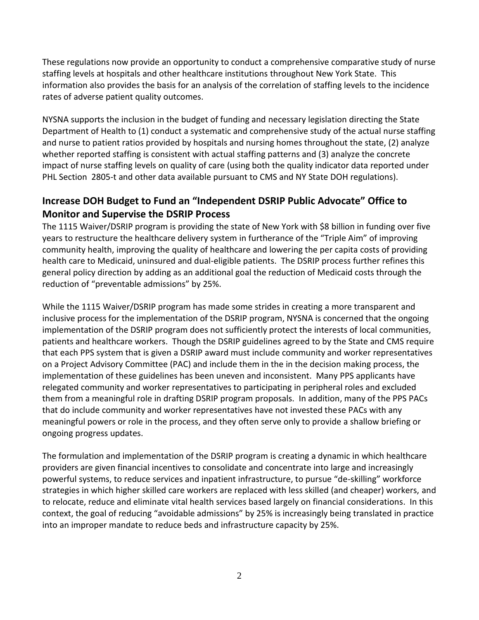These regulations now provide an opportunity to conduct a comprehensive comparative study of nurse staffing levels at hospitals and other healthcare institutions throughout New York State. This information also provides the basis for an analysis of the correlation of staffing levels to the incidence rates of adverse patient quality outcomes.

NYSNA supports the inclusion in the budget of funding and necessary legislation directing the State Department of Health to (1) conduct a systematic and comprehensive study of the actual nurse staffing and nurse to patient ratios provided by hospitals and nursing homes throughout the state, (2) analyze whether reported staffing is consistent with actual staffing patterns and (3) analyze the concrete impact of nurse staffing levels on quality of care (using both the quality indicator data reported under PHL Section 2805-t and other data available pursuant to CMS and NY State DOH regulations).

## **Increase DOH Budget to Fund an "Independent DSRIP Public Advocate" Office to Monitor and Supervise the DSRIP Process**

The 1115 Waiver/DSRIP program is providing the state of New York with \$8 billion in funding over five years to restructure the healthcare delivery system in furtherance of the "Triple Aim" of improving community health, improving the quality of healthcare and lowering the per capita costs of providing health care to Medicaid, uninsured and dual-eligible patients. The DSRIP process further refines this general policy direction by adding as an additional goal the reduction of Medicaid costs through the reduction of "preventable admissions" by 25%.

While the 1115 Waiver/DSRIP program has made some strides in creating a more transparent and inclusive process for the implementation of the DSRIP program, NYSNA is concerned that the ongoing implementation of the DSRIP program does not sufficiently protect the interests of local communities, patients and healthcare workers. Though the DSRIP guidelines agreed to by the State and CMS require that each PPS system that is given a DSRIP award must include community and worker representatives on a Project Advisory Committee (PAC) and include them in the in the decision making process, the implementation of these guidelines has been uneven and inconsistent. Many PPS applicants have relegated community and worker representatives to participating in peripheral roles and excluded them from a meaningful role in drafting DSRIP program proposals. In addition, many of the PPS PACs that do include community and worker representatives have not invested these PACs with any meaningful powers or role in the process, and they often serve only to provide a shallow briefing or ongoing progress updates.

The formulation and implementation of the DSRIP program is creating a dynamic in which healthcare providers are given financial incentives to consolidate and concentrate into large and increasingly powerful systems, to reduce services and inpatient infrastructure, to pursue "de-skilling" workforce strategies in which higher skilled care workers are replaced with less skilled (and cheaper) workers, and to relocate, reduce and eliminate vital health services based largely on financial considerations. In this context, the goal of reducing "avoidable admissions" by 25% is increasingly being translated in practice into an improper mandate to reduce beds and infrastructure capacity by 25%.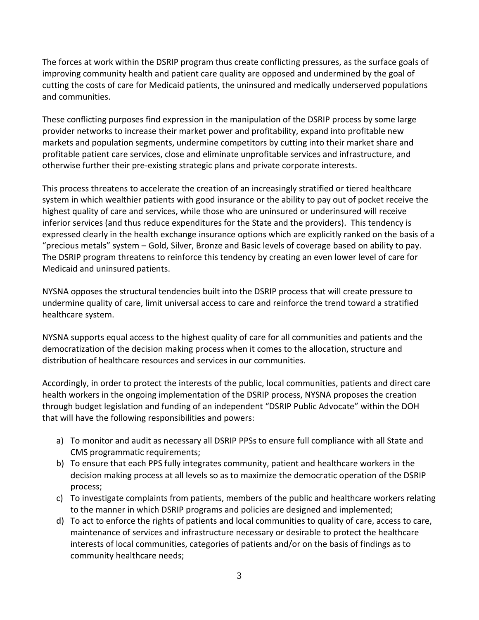The forces at work within the DSRIP program thus create conflicting pressures, as the surface goals of improving community health and patient care quality are opposed and undermined by the goal of cutting the costs of care for Medicaid patients, the uninsured and medically underserved populations and communities.

These conflicting purposes find expression in the manipulation of the DSRIP process by some large provider networks to increase their market power and profitability, expand into profitable new markets and population segments, undermine competitors by cutting into their market share and profitable patient care services, close and eliminate unprofitable services and infrastructure, and otherwise further their pre-existing strategic plans and private corporate interests.

This process threatens to accelerate the creation of an increasingly stratified or tiered healthcare system in which wealthier patients with good insurance or the ability to pay out of pocket receive the highest quality of care and services, while those who are uninsured or underinsured will receive inferior services (and thus reduce expenditures for the State and the providers). This tendency is expressed clearly in the health exchange insurance options which are explicitly ranked on the basis of a "precious metals" system – Gold, Silver, Bronze and Basic levels of coverage based on ability to pay. The DSRIP program threatens to reinforce this tendency by creating an even lower level of care for Medicaid and uninsured patients.

NYSNA opposes the structural tendencies built into the DSRIP process that will create pressure to undermine quality of care, limit universal access to care and reinforce the trend toward a stratified healthcare system.

NYSNA supports equal access to the highest quality of care for all communities and patients and the democratization of the decision making process when it comes to the allocation, structure and distribution of healthcare resources and services in our communities.

Accordingly, in order to protect the interests of the public, local communities, patients and direct care health workers in the ongoing implementation of the DSRIP process, NYSNA proposes the creation through budget legislation and funding of an independent "DSRIP Public Advocate" within the DOH that will have the following responsibilities and powers:

- a) To monitor and audit as necessary all DSRIP PPSs to ensure full compliance with all State and CMS programmatic requirements;
- b) To ensure that each PPS fully integrates community, patient and healthcare workers in the decision making process at all levels so as to maximize the democratic operation of the DSRIP process;
- c) To investigate complaints from patients, members of the public and healthcare workers relating to the manner in which DSRIP programs and policies are designed and implemented;
- d) To act to enforce the rights of patients and local communities to quality of care, access to care, maintenance of services and infrastructure necessary or desirable to protect the healthcare interests of local communities, categories of patients and/or on the basis of findings as to community healthcare needs;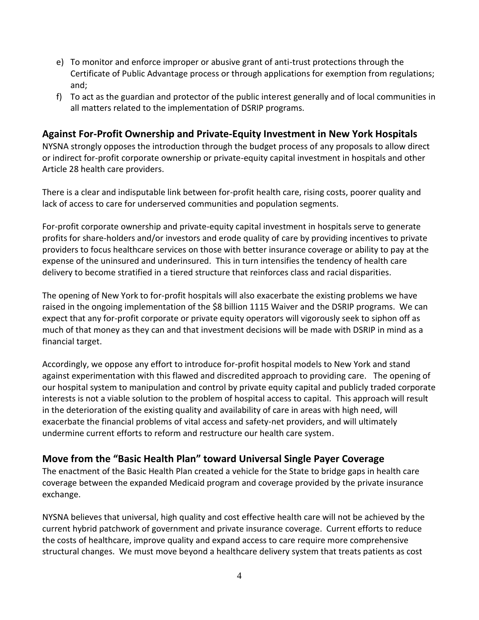- e) To monitor and enforce improper or abusive grant of anti-trust protections through the Certificate of Public Advantage process or through applications for exemption from regulations; and;
- f) To act as the guardian and protector of the public interest generally and of local communities in all matters related to the implementation of DSRIP programs.

#### **Against For-Profit Ownership and Private-Equity Investment in New York Hospitals**

NYSNA strongly opposes the introduction through the budget process of any proposals to allow direct or indirect for-profit corporate ownership or private-equity capital investment in hospitals and other Article 28 health care providers.

There is a clear and indisputable link between for-profit health care, rising costs, poorer quality and lack of access to care for underserved communities and population segments.

For-profit corporate ownership and private-equity capital investment in hospitals serve to generate profits for share-holders and/or investors and erode quality of care by providing incentives to private providers to focus healthcare services on those with better insurance coverage or ability to pay at the expense of the uninsured and underinsured. This in turn intensifies the tendency of health care delivery to become stratified in a tiered structure that reinforces class and racial disparities.

The opening of New York to for-profit hospitals will also exacerbate the existing problems we have raised in the ongoing implementation of the \$8 billion 1115 Waiver and the DSRIP programs. We can expect that any for-profit corporate or private equity operators will vigorously seek to siphon off as much of that money as they can and that investment decisions will be made with DSRIP in mind as a financial target.

Accordingly, we oppose any effort to introduce for-profit hospital models to New York and stand against experimentation with this flawed and discredited approach to providing care. The opening of our hospital system to manipulation and control by private equity capital and publicly traded corporate interests is not a viable solution to the problem of hospital access to capital. This approach will result in the deterioration of the existing quality and availability of care in areas with high need, will exacerbate the financial problems of vital access and safety-net providers, and will ultimately undermine current efforts to reform and restructure our health care system.

## **Move from the "Basic Health Plan" toward Universal Single Payer Coverage**

The enactment of the Basic Health Plan created a vehicle for the State to bridge gaps in health care coverage between the expanded Medicaid program and coverage provided by the private insurance exchange.

NYSNA believes that universal, high quality and cost effective health care will not be achieved by the current hybrid patchwork of government and private insurance coverage. Current efforts to reduce the costs of healthcare, improve quality and expand access to care require more comprehensive structural changes. We must move beyond a healthcare delivery system that treats patients as cost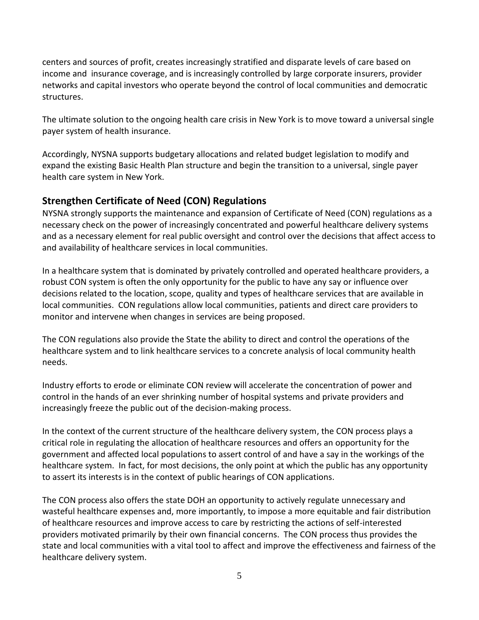centers and sources of profit, creates increasingly stratified and disparate levels of care based on income and insurance coverage, and is increasingly controlled by large corporate insurers, provider networks and capital investors who operate beyond the control of local communities and democratic structures.

The ultimate solution to the ongoing health care crisis in New York is to move toward a universal single payer system of health insurance.

Accordingly, NYSNA supports budgetary allocations and related budget legislation to modify and expand the existing Basic Health Plan structure and begin the transition to a universal, single payer health care system in New York.

#### **Strengthen Certificate of Need (CON) Regulations**

NYSNA strongly supports the maintenance and expansion of Certificate of Need (CON) regulations as a necessary check on the power of increasingly concentrated and powerful healthcare delivery systems and as a necessary element for real public oversight and control over the decisions that affect access to and availability of healthcare services in local communities.

In a healthcare system that is dominated by privately controlled and operated healthcare providers, a robust CON system is often the only opportunity for the public to have any say or influence over decisions related to the location, scope, quality and types of healthcare services that are available in local communities. CON regulations allow local communities, patients and direct care providers to monitor and intervene when changes in services are being proposed.

The CON regulations also provide the State the ability to direct and control the operations of the healthcare system and to link healthcare services to a concrete analysis of local community health needs.

Industry efforts to erode or eliminate CON review will accelerate the concentration of power and control in the hands of an ever shrinking number of hospital systems and private providers and increasingly freeze the public out of the decision-making process.

In the context of the current structure of the healthcare delivery system, the CON process plays a critical role in regulating the allocation of healthcare resources and offers an opportunity for the government and affected local populations to assert control of and have a say in the workings of the healthcare system. In fact, for most decisions, the only point at which the public has any opportunity to assert its interests is in the context of public hearings of CON applications.

The CON process also offers the state DOH an opportunity to actively regulate unnecessary and wasteful healthcare expenses and, more importantly, to impose a more equitable and fair distribution of healthcare resources and improve access to care by restricting the actions of self-interested providers motivated primarily by their own financial concerns. The CON process thus provides the state and local communities with a vital tool to affect and improve the effectiveness and fairness of the healthcare delivery system.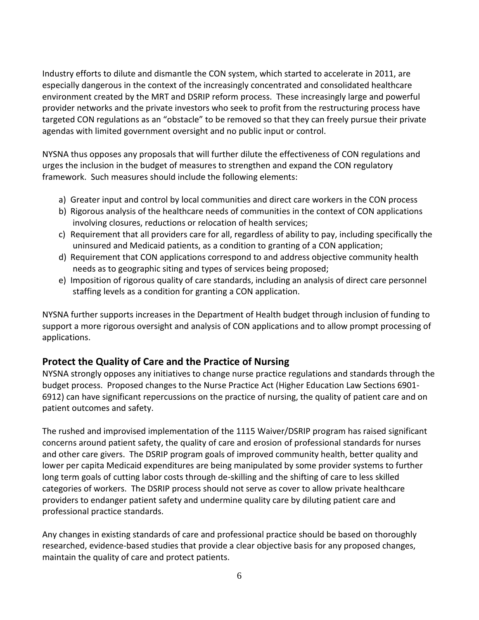Industry efforts to dilute and dismantle the CON system, which started to accelerate in 2011, are especially dangerous in the context of the increasingly concentrated and consolidated healthcare environment created by the MRT and DSRIP reform process. These increasingly large and powerful provider networks and the private investors who seek to profit from the restructuring process have targeted CON regulations as an "obstacle" to be removed so that they can freely pursue their private agendas with limited government oversight and no public input or control.

NYSNA thus opposes any proposals that will further dilute the effectiveness of CON regulations and urges the inclusion in the budget of measures to strengthen and expand the CON regulatory framework. Such measures should include the following elements:

- a) Greater input and control by local communities and direct care workers in the CON process
- b) Rigorous analysis of the healthcare needs of communities in the context of CON applications involving closures, reductions or relocation of health services;
- c) Requirement that all providers care for all, regardless of ability to pay, including specifically the uninsured and Medicaid patients, as a condition to granting of a CON application;
- d) Requirement that CON applications correspond to and address objective community health needs as to geographic siting and types of services being proposed;
- e) Imposition of rigorous quality of care standards, including an analysis of direct care personnel staffing levels as a condition for granting a CON application.

NYSNA further supports increases in the Department of Health budget through inclusion of funding to support a more rigorous oversight and analysis of CON applications and to allow prompt processing of applications.

#### **Protect the Quality of Care and the Practice of Nursing**

NYSNA strongly opposes any initiatives to change nurse practice regulations and standards through the budget process. Proposed changes to the Nurse Practice Act (Higher Education Law Sections 6901- 6912) can have significant repercussions on the practice of nursing, the quality of patient care and on patient outcomes and safety.

The rushed and improvised implementation of the 1115 Waiver/DSRIP program has raised significant concerns around patient safety, the quality of care and erosion of professional standards for nurses and other care givers. The DSRIP program goals of improved community health, better quality and lower per capita Medicaid expenditures are being manipulated by some provider systems to further long term goals of cutting labor costs through de-skilling and the shifting of care to less skilled categories of workers. The DSRIP process should not serve as cover to allow private healthcare providers to endanger patient safety and undermine quality care by diluting patient care and professional practice standards.

Any changes in existing standards of care and professional practice should be based on thoroughly researched, evidence-based studies that provide a clear objective basis for any proposed changes, maintain the quality of care and protect patients.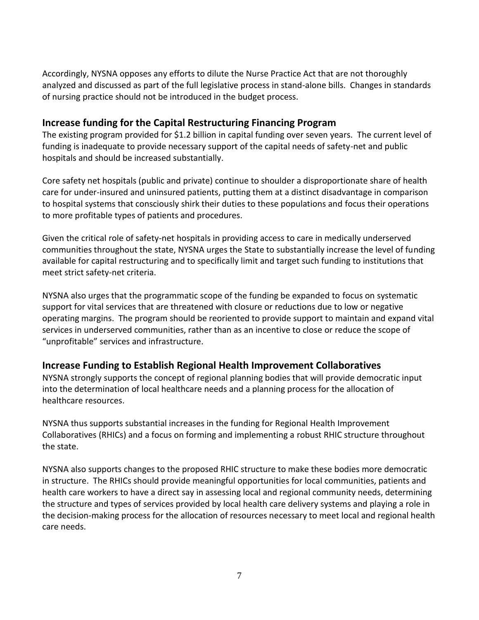Accordingly, NYSNA opposes any efforts to dilute the Nurse Practice Act that are not thoroughly analyzed and discussed as part of the full legislative process in stand-alone bills. Changes in standards of nursing practice should not be introduced in the budget process.

#### **Increase funding for the Capital Restructuring Financing Program**

The existing program provided for \$1.2 billion in capital funding over seven years. The current level of funding is inadequate to provide necessary support of the capital needs of safety-net and public hospitals and should be increased substantially.

Core safety net hospitals (public and private) continue to shoulder a disproportionate share of health care for under-insured and uninsured patients, putting them at a distinct disadvantage in comparison to hospital systems that consciously shirk their duties to these populations and focus their operations to more profitable types of patients and procedures.

Given the critical role of safety-net hospitals in providing access to care in medically underserved communities throughout the state, NYSNA urges the State to substantially increase the level of funding available for capital restructuring and to specifically limit and target such funding to institutions that meet strict safety-net criteria.

NYSNA also urges that the programmatic scope of the funding be expanded to focus on systematic support for vital services that are threatened with closure or reductions due to low or negative operating margins. The program should be reoriented to provide support to maintain and expand vital services in underserved communities, rather than as an incentive to close or reduce the scope of "unprofitable" services and infrastructure.

#### **Increase Funding to Establish Regional Health Improvement Collaboratives**

NYSNA strongly supports the concept of regional planning bodies that will provide democratic input into the determination of local healthcare needs and a planning process for the allocation of healthcare resources.

NYSNA thus supports substantial increases in the funding for Regional Health Improvement Collaboratives (RHICs) and a focus on forming and implementing a robust RHIC structure throughout the state.

NYSNA also supports changes to the proposed RHIC structure to make these bodies more democratic in structure. The RHICs should provide meaningful opportunities for local communities, patients and health care workers to have a direct say in assessing local and regional community needs, determining the structure and types of services provided by local health care delivery systems and playing a role in the decision-making process for the allocation of resources necessary to meet local and regional health care needs.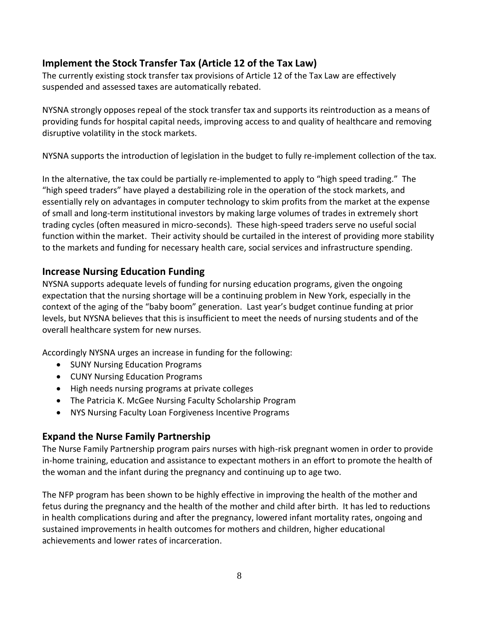## **Implement the Stock Transfer Tax (Article 12 of the Tax Law)**

The currently existing stock transfer tax provisions of Article 12 of the Tax Law are effectively suspended and assessed taxes are automatically rebated.

NYSNA strongly opposes repeal of the stock transfer tax and supports its reintroduction as a means of providing funds for hospital capital needs, improving access to and quality of healthcare and removing disruptive volatility in the stock markets.

NYSNA supports the introduction of legislation in the budget to fully re-implement collection of the tax.

In the alternative, the tax could be partially re-implemented to apply to "high speed trading." The "high speed traders" have played a destabilizing role in the operation of the stock markets, and essentially rely on advantages in computer technology to skim profits from the market at the expense of small and long-term institutional investors by making large volumes of trades in extremely short trading cycles (often measured in micro-seconds). These high-speed traders serve no useful social function within the market. Their activity should be curtailed in the interest of providing more stability to the markets and funding for necessary health care, social services and infrastructure spending.

#### **Increase Nursing Education Funding**

NYSNA supports adequate levels of funding for nursing education programs, given the ongoing expectation that the nursing shortage will be a continuing problem in New York, especially in the context of the aging of the "baby boom" generation. Last year's budget continue funding at prior levels, but NYSNA believes that this is insufficient to meet the needs of nursing students and of the overall healthcare system for new nurses.

Accordingly NYSNA urges an increase in funding for the following:

- SUNY Nursing Education Programs
- CUNY Nursing Education Programs
- High needs nursing programs at private colleges
- The Patricia K. McGee Nursing Faculty Scholarship Program
- NYS Nursing Faculty Loan Forgiveness Incentive Programs

#### **Expand the Nurse Family Partnership**

The Nurse Family Partnership program pairs nurses with high-risk pregnant women in order to provide in-home training, education and assistance to expectant mothers in an effort to promote the health of the woman and the infant during the pregnancy and continuing up to age two.

The NFP program has been shown to be highly effective in improving the health of the mother and fetus during the pregnancy and the health of the mother and child after birth. It has led to reductions in health complications during and after the pregnancy, lowered infant mortality rates, ongoing and sustained improvements in health outcomes for mothers and children, higher educational achievements and lower rates of incarceration.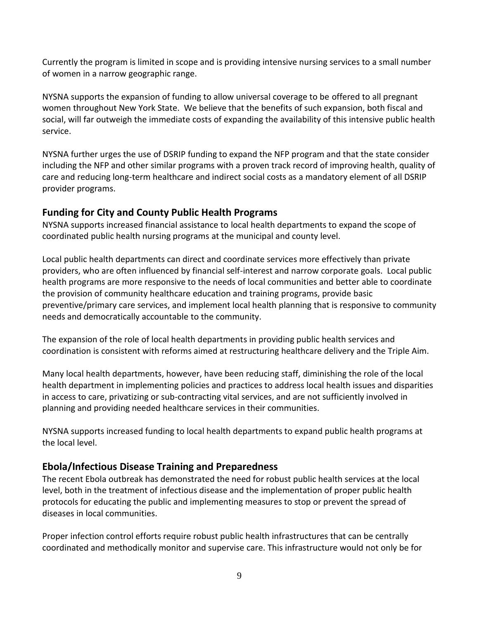Currently the program is limited in scope and is providing intensive nursing services to a small number of women in a narrow geographic range.

NYSNA supports the expansion of funding to allow universal coverage to be offered to all pregnant women throughout New York State. We believe that the benefits of such expansion, both fiscal and social, will far outweigh the immediate costs of expanding the availability of this intensive public health service.

NYSNA further urges the use of DSRIP funding to expand the NFP program and that the state consider including the NFP and other similar programs with a proven track record of improving health, quality of care and reducing long-term healthcare and indirect social costs as a mandatory element of all DSRIP provider programs.

#### **Funding for City and County Public Health Programs**

NYSNA supports increased financial assistance to local health departments to expand the scope of coordinated public health nursing programs at the municipal and county level.

Local public health departments can direct and coordinate services more effectively than private providers, who are often influenced by financial self-interest and narrow corporate goals. Local public health programs are more responsive to the needs of local communities and better able to coordinate the provision of community healthcare education and training programs, provide basic preventive/primary care services, and implement local health planning that is responsive to community needs and democratically accountable to the community.

The expansion of the role of local health departments in providing public health services and coordination is consistent with reforms aimed at restructuring healthcare delivery and the Triple Aim.

Many local health departments, however, have been reducing staff, diminishing the role of the local health department in implementing policies and practices to address local health issues and disparities in access to care, privatizing or sub-contracting vital services, and are not sufficiently involved in planning and providing needed healthcare services in their communities.

NYSNA supports increased funding to local health departments to expand public health programs at the local level.

## **Ebola/Infectious Disease Training and Preparedness**

The recent Ebola outbreak has demonstrated the need for robust public health services at the local level, both in the treatment of infectious disease and the implementation of proper public health protocols for educating the public and implementing measures to stop or prevent the spread of diseases in local communities.

Proper infection control efforts require robust public health infrastructures that can be centrally coordinated and methodically monitor and supervise care. This infrastructure would not only be for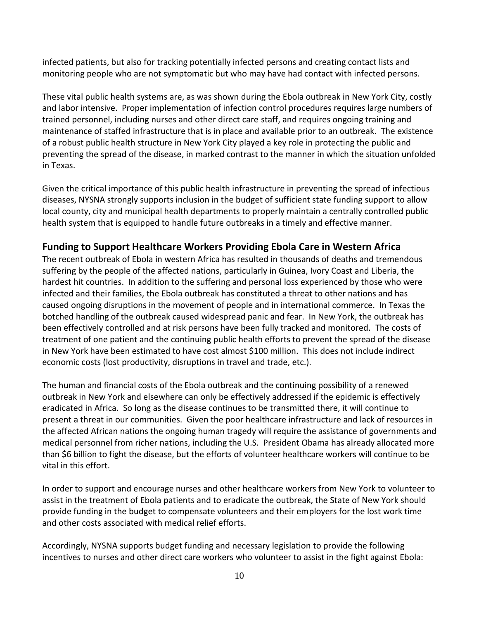infected patients, but also for tracking potentially infected persons and creating contact lists and monitoring people who are not symptomatic but who may have had contact with infected persons.

These vital public health systems are, as was shown during the Ebola outbreak in New York City, costly and labor intensive. Proper implementation of infection control procedures requires large numbers of trained personnel, including nurses and other direct care staff, and requires ongoing training and maintenance of staffed infrastructure that is in place and available prior to an outbreak. The existence of a robust public health structure in New York City played a key role in protecting the public and preventing the spread of the disease, in marked contrast to the manner in which the situation unfolded in Texas.

Given the critical importance of this public health infrastructure in preventing the spread of infectious diseases, NYSNA strongly supports inclusion in the budget of sufficient state funding support to allow local county, city and municipal health departments to properly maintain a centrally controlled public health system that is equipped to handle future outbreaks in a timely and effective manner.

#### **Funding to Support Healthcare Workers Providing Ebola Care in Western Africa**

The recent outbreak of Ebola in western Africa has resulted in thousands of deaths and tremendous suffering by the people of the affected nations, particularly in Guinea, Ivory Coast and Liberia, the hardest hit countries. In addition to the suffering and personal loss experienced by those who were infected and their families, the Ebola outbreak has constituted a threat to other nations and has caused ongoing disruptions in the movement of people and in international commerce. In Texas the botched handling of the outbreak caused widespread panic and fear. In New York, the outbreak has been effectively controlled and at risk persons have been fully tracked and monitored. The costs of treatment of one patient and the continuing public health efforts to prevent the spread of the disease in New York have been estimated to have cost almost \$100 million. This does not include indirect economic costs (lost productivity, disruptions in travel and trade, etc.).

The human and financial costs of the Ebola outbreak and the continuing possibility of a renewed outbreak in New York and elsewhere can only be effectively addressed if the epidemic is effectively eradicated in Africa. So long as the disease continues to be transmitted there, it will continue to present a threat in our communities. Given the poor healthcare infrastructure and lack of resources in the affected African nations the ongoing human tragedy will require the assistance of governments and medical personnel from richer nations, including the U.S. President Obama has already allocated more than \$6 billion to fight the disease, but the efforts of volunteer healthcare workers will continue to be vital in this effort.

In order to support and encourage nurses and other healthcare workers from New York to volunteer to assist in the treatment of Ebola patients and to eradicate the outbreak, the State of New York should provide funding in the budget to compensate volunteers and their employers for the lost work time and other costs associated with medical relief efforts.

Accordingly, NYSNA supports budget funding and necessary legislation to provide the following incentives to nurses and other direct care workers who volunteer to assist in the fight against Ebola: